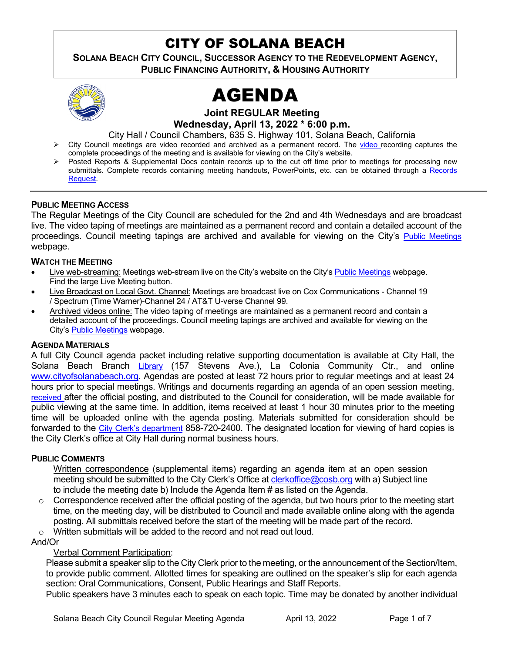# CITY OF SOLANA BEACH

**SOLANA BEACH CITY COUNCIL, SUCCESSOR AGENCY TO THE REDEVELOPMENT AGENCY, PUBLIC FINANCING AUTHORITY, & HOUSING AUTHORITY** 



# AGENDA

**Joint REGULAR Meeting**

**Wednesday, April 13, 2022 \* 6:00 p.m.** 

City Hall / Council Chambers, 635 S. Highway 101, Solana Beach, California

- > City Council meetings are [video r](https://solanabeach.12milesout.com/#page=1)ecorded and archived as a permanent record. The video recording captures the complete proceedings of the meeting and is available for viewing on the City's website.
- Posted Reports & Supplemental Docs contain records up to the cut off time prior to meetings for processing new submittals. Complete records containing meeting handouts, PowerPoints, etc. can be obtained through a Records [Request.](http://www.ci.solana-beach.ca.us/index.asp?SEC=F5D45D10-70CE-4291-A27C-7BD633FC6742&Type=B_BASIC)

#### **PUBLIC MEETING ACCESS**

The Regular Meetings of the City Council are scheduled for the 2nd and 4th Wednesdays and are broadcast live. The video taping of meetings are maintained as a permanent record and contain a detailed account of the proceedings. Council meeting tapings are archived and available for viewing on the City's [Public Meetings](https://www.ci.solana-beach.ca.us/index.asp?SEC=F0F1200D-21C6-4A88-8AE1-0BC07C1A81A7&Type=B_BASIC) webpage.

#### **WATCH THE MEETING**

- Live web-streaming: Meetings web-stream live on the City's website on the City's [Public Meetings](https://urldefense.proofpoint.com/v2/url?u=https-3A__www.ci.solana-2Dbeach.ca.us_index.asp-3FSEC-3DF0F1200D-2D21C6-2D4A88-2D8AE1-2D0BC07C1A81A7-26Type-3DB-5FBASIC&d=DwMFAg&c=euGZstcaTDllvimEN8b7jXrwqOf-v5A_CdpgnVfiiMM&r=1XAsCUuqwK_tji2t0s1uIQ&m=wny2RVfZJ2tN24LkqZmkUWNpwL_peNtTZUBlTBZiMM4&s=WwpcEQpHHkFen6nS6q2waMuQ_VMZ-i1YZ60lD-dYRRE&e=) webpage. Find the large Live Meeting button.
- Live Broadcast on Local Govt. Channel: Meetings are broadcast live on Cox Communications Channel 19 / Spectrum (Time Warner)-Channel 24 / AT&T U-verse Channel 99.
- Archived videos online: The video taping of meetings are maintained as a permanent record and contain a detailed account of the proceedings. Council meeting tapings are archived and available for viewing on the City's [Public Meetings](https://urldefense.proofpoint.com/v2/url?u=https-3A__www.ci.solana-2Dbeach.ca.us_index.asp-3FSEC-3DF0F1200D-2D21C6-2D4A88-2D8AE1-2D0BC07C1A81A7-26Type-3DB-5FBASIC&d=DwMFAg&c=euGZstcaTDllvimEN8b7jXrwqOf-v5A_CdpgnVfiiMM&r=1XAsCUuqwK_tji2t0s1uIQ&m=wny2RVfZJ2tN24LkqZmkUWNpwL_peNtTZUBlTBZiMM4&s=WwpcEQpHHkFen6nS6q2waMuQ_VMZ-i1YZ60lD-dYRRE&e=) webpage.

#### **AGENDA MATERIALS**

A full City Council agenda packet including relative supporting documentation is available at City Hall, the Solana Beach Branch [Library](http://www.sdcl.org/locations_SB.html) (157 Stevens Ave.), La Colonia Community Ctr., and online [www.cityofsolanabeach.org.](http://www.cityofsolanabeach.org/) Agendas are posted at least 72 hours prior to regular meetings and at least 24 hours prior to special meetings. Writings and documents regarding an agenda of an open session meeting, [received a](mailto:EMAILGRP-CityClerksOfc@cosb.org)fter the official posting, and distributed to the Council for consideration, will be made available for public viewing at the same time. In addition, items received at least 1 hour 30 minutes prior to the meeting time will be uploaded online with the agenda posting. Materials submitted for consideration should be forwarded to the [City Clerk's department](mailto:clerkoffice@cosb.org) 858-720-2400. The designated location for viewing of hard copies is the City Clerk's office at City Hall during normal business hours.

#### **PUBLIC COMMENTS**

Written correspondence (supplemental items) regarding an agenda item at an open session meeting should be submitted to the City Clerk's Office at [clerkoffice@cosb.org](mailto:clerkoffice@cosb.org) with a) Subject line to include the meeting date b) Include the Agenda Item # as listed on the Agenda.

 $\circ$  Correspondence received after the official posting of the agenda, but two hours prior to the meeting start time, on the meeting day, will be distributed to Council and made available online along with the agenda posting. All submittals received before the start of the meeting will be made part of the record.

o Written submittals will be added to the record and not read out loud.

#### And/Or

#### Verbal Comment Participation:

Please submit a speaker slip to the City Clerk prior to the meeting, or the announcement of the Section/Item, to provide public comment. Allotted times for speaking are outlined on the speaker's slip for each agenda section: Oral Communications, Consent, Public Hearings and Staff Reports.

Public speakers have 3 minutes each to speak on each topic. Time may be donated by another individual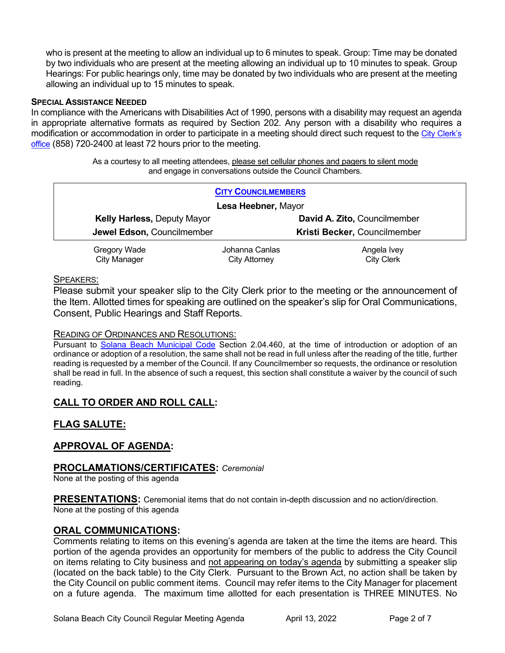who is present at the meeting to allow an individual up to 6 minutes to speak. Group: Time may be donated by two individuals who are present at the meeting allowing an individual up to 10 minutes to speak. Group Hearings: For public hearings only, time may be donated by two individuals who are present at the meeting allowing an individual up to 15 minutes to speak.

#### **SPECIAL ASSISTANCE NEEDED**

In compliance with the Americans with Disabilities Act of 1990, persons with a disability may request an agenda in appropriate alternative formats as required by Section 202. Any person with a disability who requires a modification or accommodation in order to participate in a meeting should direct such request to the [City Clerk's](mailto:clerkadmin@cosb.org?subject=City%20Clerk%20Notice%20of%20Special%20Services%20Needed)  [office](mailto:clerkadmin@cosb.org?subject=City%20Clerk%20Notice%20of%20Special%20Services%20Needed) (858) 720-2400 at least 72 hours prior to the meeting.

> As a courtesy to all meeting attendees, please set cellular phones and pagers to silent mode and engage in conversations outside the Council Chambers.

| <b>CITY COUNCILMEMBERS</b>         |                |                              |
|------------------------------------|----------------|------------------------------|
| Lesa Heebner, Mayor                |                |                              |
| <b>Kelly Harless, Deputy Mayor</b> |                | David A. Zito, Councilmember |
| Jewel Edson, Councilmember         |                | Kristi Becker, Councilmember |
| Gregory Wade                       | Johanna Canlas | Angela Ivey                  |
| <b>City Manager</b>                | City Attorney  | <b>City Clerk</b>            |

#### SPEAKERS:

Please submit your speaker slip to the City Clerk prior to the meeting or the announcement of the Item. Allotted times for speaking are outlined on the speaker's slip for Oral Communications, Consent, Public Hearings and Staff Reports.

#### READING OF ORDINANCES AND RESOLUTIONS:

Pursuant to [Solana Beach Municipal Code](mailto:https://www.codepublishing.com/CA/SolanaBeach/) Section 2.04.460, at the time of introduction or adoption of an ordinance or adoption of a resolution, the same shall not be read in full unless after the reading of the title, further reading is requested by a member of the Council. If any Councilmember so requests, the ordinance or resolution shall be read in full. In the absence of such a request, this section shall constitute a waiver by the council of such reading.

# **CALL TO ORDER AND ROLL CALL:**

# **FLAG SALUTE:**

# **APPROVAL OF AGENDA:**

#### **PROCLAMATIONS/CERTIFICATES:** *Ceremonial*

None at the posting of this agenda

**PRESENTATIONS:** Ceremonial items that do not contain in-depth discussion and no action/direction. None at the posting of this agenda

#### **ORAL COMMUNICATIONS:**

Comments relating to items on this evening's agenda are taken at the time the items are heard. This portion of the agenda provides an opportunity for members of the public to address the City Council on items relating to City business and not appearing on today's agenda by submitting a speaker slip (located on the back table) to the City Clerk. Pursuant to the Brown Act, no action shall be taken by the City Council on public comment items. Council may refer items to the City Manager for placement on a future agenda. The maximum time allotted for each presentation is THREE MINUTES. No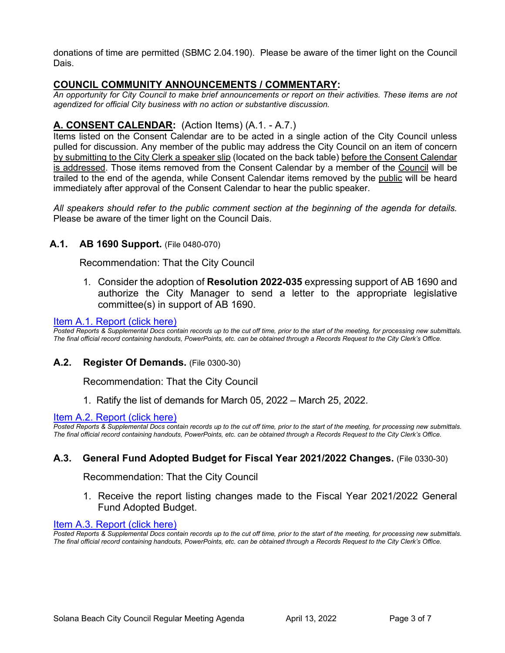donations of time are permitted (SBMC 2.04.190). Please be aware of the timer light on the Council Dais.

# **COUNCIL COMMUNITY ANNOUNCEMENTS / COMMENTARY:**

*An opportunity for City Council to make brief announcements or report on their activities. These items are not agendized for official City business with no action or substantive discussion.* 

# **A. CONSENT CALENDAR:** (Action Items) (A.1. - A.7.)

Items listed on the Consent Calendar are to be acted in a single action of the City Council unless pulled for discussion. Any member of the public may address the City Council on an item of concern by submitting to the City Clerk a speaker slip (located on the back table) before the Consent Calendar is addressed. Those items removed from the Consent Calendar by a member of the Council will be trailed to the end of the agenda, while Consent Calendar items removed by the public will be heard immediately after approval of the Consent Calendar to hear the public speaker.

*All speakers should refer to the public comment section at the beginning of the agenda for details.* Please be aware of the timer light on the Council Dais.

# **A.1. AB 1690 Support.** (File 0480-070)

Recommendation: That the City Council

1. Consider the adoption of **Resolution 2022-035** expressing support of AB 1690 and authorize the City Manager to send a letter to the appropriate legislative committee(s) in support of AB 1690.

#### Item A.1. Report (click here)

*Posted Reports & Supplemental Docs contain records up to the cut off time, prior to the start of the meeting, for processing new submittals. The final official record containing handouts, PowerPoints, etc. can be obtained through a Records Request to the City Clerk's Office.*

#### **A.2. Register Of Demands.** (File 0300-30)

Recommendation: That the City Council

1. Ratify the list of demands for March 05, 2022 – March 25, 2022.

#### [Item A.2. Report \(click here\)](https://solanabeach.govoffice3.com/vertical/Sites/%7B840804C2-F869-4904-9AE3-720581350CE7%7D/uploads/A2_Report_-_4-13-22_-_O.pdf)

*Posted Reports & Supplemental Docs contain records up to the cut off time, prior to the start of the meeting, for processing new submittals. The final official record containing handouts, PowerPoints, etc. can be obtained through a Records Request to the City Clerk's Office.*

# **A.3. General Fund Adopted Budget for Fiscal Year 2021/2022 Changes.** (File 0330-30)

Recommendation: That the City Council

1. Receive the report listing changes made to the Fiscal Year 2021/2022 General Fund Adopted Budget.

#### [Item A.3. Report \(click here\)](https://solanabeach.govoffice3.com/vertical/Sites/%7B840804C2-F869-4904-9AE3-720581350CE7%7D/uploads/A3_Report_-_4-13-22_-_O.pdf)

*Posted Reports & Supplemental Docs contain records up to the cut off time, prior to the start of the meeting, for processing new submittals. The final official record containing handouts, PowerPoints, etc. can be obtained through a Records Request to the City Clerk's Office.*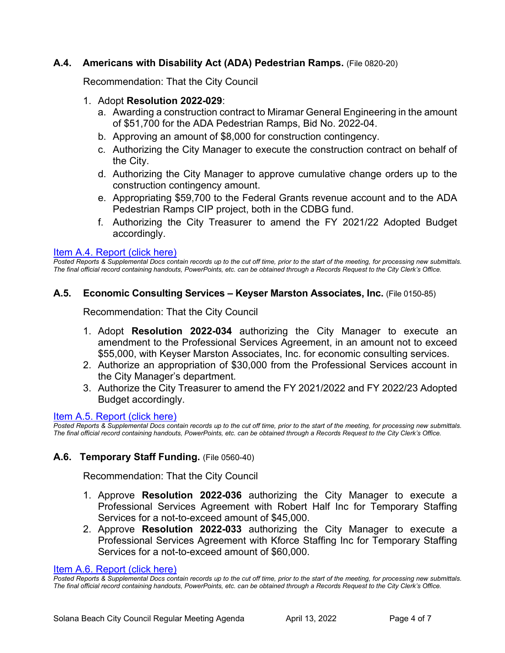# **A.4. Americans with Disability Act (ADA) Pedestrian Ramps.** (File 0820-20)

Recommendation: That the City Council

- 1. Adopt **Resolution 2022-029**:
	- a. Awarding a construction contract to Miramar General Engineering in the amount of \$51,700 for the ADA Pedestrian Ramps, Bid No. 2022-04.
	- b. Approving an amount of \$8,000 for construction contingency.
	- c. Authorizing the City Manager to execute the construction contract on behalf of the City.
	- d. Authorizing the City Manager to approve cumulative change orders up to the construction contingency amount.
	- e. Appropriating \$59,700 to the Federal Grants revenue account and to the ADA Pedestrian Ramps CIP project, both in the CDBG fund.
	- f. Authorizing the City Treasurer to amend the FY 2021/22 Adopted Budget accordingly.

#### <u>Item A.4. Report (click here)</u>

*Posted Reports & Supplemental Docs contain records up to the cut off time, prior to the start of the meeting, for processing new submittals. The final official record containing handouts, PowerPoints, etc. can be obtained through a Records Request to the City Clerk's Office.*

#### **A.5. Economic Consulting Services – Keyser Marston Associates, Inc.** (File 0150-85)

Recommendation: That the City Council

- 1. Adopt **Resolution 2022-034** authorizing the City Manager to execute an amendment to the Professional Services Agreement, in an amount not to exceed \$55,000, with Keyser Marston Associates, Inc. for economic consulting services.
- 2. Authorize an appropriation of \$30,000 from the Professional Services account in the City Manager's department.
- 3. Authorize the City Treasurer to amend the FY 2021/2022 and FY 2022/23 Adopted Budget accordingly.

#### [Item A.5. Report \(click here\)](https://solanabeach.govoffice3.com/vertical/Sites/%7B840804C2-F869-4904-9AE3-720581350CE7%7D/uploads/A5_Report_-_4-13-22_-_O.pdf)

*Posted Reports & Supplemental Docs contain records up to the cut off time, prior to the start of the meeting, for processing new submittals. The final official record containing handouts, PowerPoints, etc. can be obtained through a Records Request to the City Clerk's Office.*

#### **A.6. Temporary Staff Funding.** (File 0560-40)

Recommendation: That the City Council

- 1. Approve **Resolution 2022-036** authorizing the City Manager to execute a Professional Services Agreement with Robert Half Inc for Temporary Staffing Services for a not-to-exceed amount of \$45,000.
- 2. Approve **Resolution 2022-033** authorizing the City Manager to execute a Professional Services Agreement with Kforce Staffing Inc for Temporary Staffing Services for a not-to-exceed amount of \$60,000.

#### [Item A.6. Report \(click here\)](https://solanabeach.govoffice3.com/vertical/Sites/%7B840804C2-F869-4904-9AE3-720581350CE7%7D/uploads/A6_Report_-_4-13-22_-_O.pdf)

*Posted Reports & Supplemental Docs contain records up to the cut off time, prior to the start of the meeting, for processing new submittals. The final official record containing handouts, PowerPoints, etc. can be obtained through a Records Request to the City Clerk's Office.*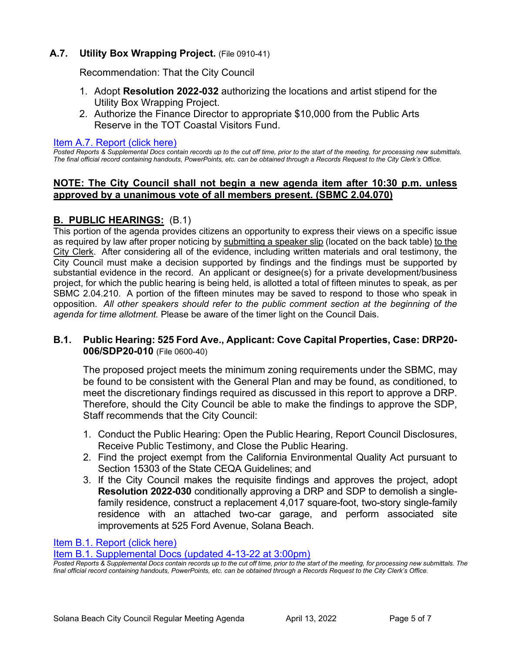# **A.7. Utility Box Wrapping Project.** (File 0910-41)

Recommendation: That the City Council

- 1. Adopt **Resolution 2022-032** authorizing the locations and artist stipend for the Utility Box Wrapping Project.
- 2. Authorize the Finance Director to appropriate \$10,000 from the Public Arts [Reserve in the TOT Coastal Visitors Fund.](https://solanabeach.govoffice3.com/vertical/Sites/%7B840804C2-F869-4904-9AE3-720581350CE7%7D/uploads/A7_Report_-_4-13-22_-_O.pdf)

#### [Item A.7. Report \(click here\)](https://solanabeach.govoffice3.com/vertical/Sites/%7B840804C2-F869-4904-9AE3-720581350CE7%7D/uploads/A7_Report_-_4-13-22_-_O.pdf)

*Posted Reports & Supplemental Docs contain records up to the cut off time, prior to the start of the meeting, for processing new submittals. The final official record containing handouts, PowerPoints, etc. can be obtained through a Records Request to the City Clerk's Office.*

#### **NOTE: The City Council shall not begin a new agenda item after 10:30 p.m. unless approved by a unanimous vote of all members present. (SBMC 2.04.070)**

# **B. PUBLIC HEARINGS:** (B.1)

This portion of the agenda provides citizens an opportunity to express their views on a specific issue as required by law after proper noticing by submitting a speaker slip (located on the back table) to the City Clerk. After considering all of the evidence, including written materials and oral testimony, the City Council must make a decision supported by findings and the findings must be supported by substantial evidence in the record. An applicant or designee(s) for a private development/business project, for which the public hearing is being held, is allotted a total of fifteen minutes to speak, as per SBMC 2.04.210. A portion of the fifteen minutes may be saved to respond to those who speak in opposition. *All other speakers should refer to the public comment section at the beginning of the agenda for time allotment.* Please be aware of the timer light on the Council Dais.

# **B.1. Public Hearing: 525 Ford Ave., Applicant: Cove Capital Properties, Case: DRP20- 006/SDP20-010** (File 0600-40)

The proposed project meets the minimum zoning requirements under the SBMC, may be found to be consistent with the General Plan and may be found, as conditioned, to meet the discretionary findings required as discussed in this report to approve a DRP. Therefore, should the City Council be able to make the findings to approve the SDP, Staff recommends that the City Council:

- 1. Conduct the Public Hearing: Open the Public Hearing, Report Council Disclosures, Receive Public Testimony, and Close the Public Hearing.
- 2. Find the project exempt from the California Environmental Quality Act pursuant to Section 15303 of the State CEQA Guidelines; and
- 3. If the City Council makes the requisite findings and approves the project, adopt **Resolution 2022-030** conditionally approving a DRP and SDP to demolish a singlefamily residence, construct a replacement 4,017 square-foot, two-story single-family residence with an attached two-car garage, and perform associated site improvements at 525 Ford Avenue, Solana Beach.

[Item B.1. Report \(click here\)](https://solanabeach.govoffice3.com/vertical/Sites/%7B840804C2-F869-4904-9AE3-720581350CE7%7D/uploads/B1_Report_-_4-13-22_-_O.pdf) 

[Item B.1. Supplemental Docs \(updated 4-13-22 at 3:00pm\)](https://solanabeach.govoffice3.com/vertical/Sites/%7B840804C2-F869-4904-9AE3-720581350CE7%7D/uploads/B1_Supp_docs_(4-13)_-_O.pdf)

Posted Reports & Supplemental Docs contain records up to the cut off time, prior to the start of the meeting, for processing new submittals. The *final official record containing handouts, PowerPoints, etc. can be obtained through a Records Request to the City Clerk's Office.*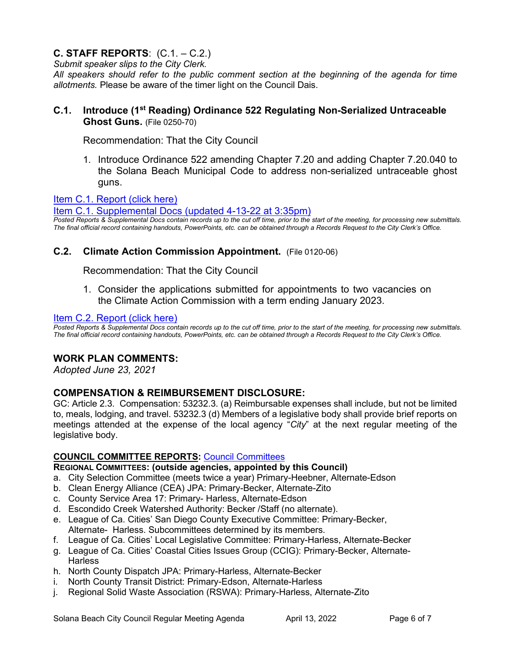# **C. STAFF REPORTS**: (C.1. – C.2.)

*Submit speaker slips to the City Clerk.* 

*All speakers should refer to the public comment section at the beginning of the agenda for time allotments.* Please be aware of the timer light on the Council Dais.

# **C.1. Introduce (1st Reading) Ordinance 522 Regulating Non-Serialized Untraceable Ghost Guns.** (File 0250-70)

Recommendation: That the City Council

1. Introduce Ordinance 522 amending Chapter 7.20 and adding Chapter 7.20.040 to the Solana Beach Municipal Code to address non-serialized untraceable ghost guns.

[Item C.1. Report \(click here\)](https://solanabeach.govoffice3.com/vertical/Sites/%7B840804C2-F869-4904-9AE3-720581350CE7%7D/uploads/C1_Report_-_4-13-22_-_O.pdf) 

[Item C.1. Supplemental Docs \(updated 4-13-22 at 3:35pm\)](https://solanabeach.govoffice3.com/vertical/Sites/%7B840804C2-F869-4904-9AE3-720581350CE7%7D/uploads/C.1._Supp_Docs_(4-13_330pm)_-_O.pdf)

*Posted Reports & Supplemental Docs contain records up to the cut off time, prior to the start of the meeting, for processing new submittals. The final official record containing handouts, PowerPoints, etc. can be obtained through a Records Request to the City Clerk's Office.*

# **C.2. Climate Action Commission Appointment.** (File 0120-06)

Recommendation: That the City Council

1. Consider the applications submitted for appointments to two vacancies on the Climate Action Commission with a term ending January 2023.

#### [Item C.2. Report \(click here\)](https://solanabeach.govoffice3.com/vertical/Sites/%7B840804C2-F869-4904-9AE3-720581350CE7%7D/uploads/C2_Report_-_4-13-22_-_O.pdf)

*Posted Reports & Supplemental Docs contain records up to the cut off time, prior to the start of the meeting, for processing new submittals. The final official record containing handouts, PowerPoints, etc. can be obtained through a Records Request to the City Clerk's Office.*

#### **WORK PLAN COMMENTS:**

*Adopted June 23, 2021*

#### **COMPENSATION & REIMBURSEMENT DISCLOSURE:**

GC: Article 2.3. Compensation: 53232.3. (a) Reimbursable expenses shall include, but not be limited to, meals, lodging, and travel. 53232.3 (d) Members of a legislative body shall provide brief reports on meetings attended at the expense of the local agency "*City*" at the next regular meeting of the legislative body.

#### **COUNCIL COMMITTEE REPORTS:** [Council Committees](https://www.ci.solana-beach.ca.us/index.asp?SEC=584E1192-3850-46EA-B977-088AC3E81E0D&Type=B_BASIC)

#### **REGIONAL COMMITTEES: (outside agencies, appointed by this Council)**

- a. City Selection Committee (meets twice a year) Primary-Heebner, Alternate-Edson
- b. Clean Energy Alliance (CEA) JPA: Primary-Becker, Alternate-Zito
- c. County Service Area 17: Primary- Harless, Alternate-Edson
- d. Escondido Creek Watershed Authority: Becker /Staff (no alternate).
- e. League of Ca. Cities' San Diego County Executive Committee: Primary-Becker, Alternate- Harless. Subcommittees determined by its members.
- f. League of Ca. Cities' Local Legislative Committee: Primary-Harless, Alternate-Becker
- g. League of Ca. Cities' Coastal Cities Issues Group (CCIG): Primary-Becker, Alternate-**Harless**
- h. North County Dispatch JPA: Primary-Harless, Alternate-Becker
- i. North County Transit District: Primary-Edson, Alternate-Harless
- j. Regional Solid Waste Association (RSWA): Primary-Harless, Alternate-Zito